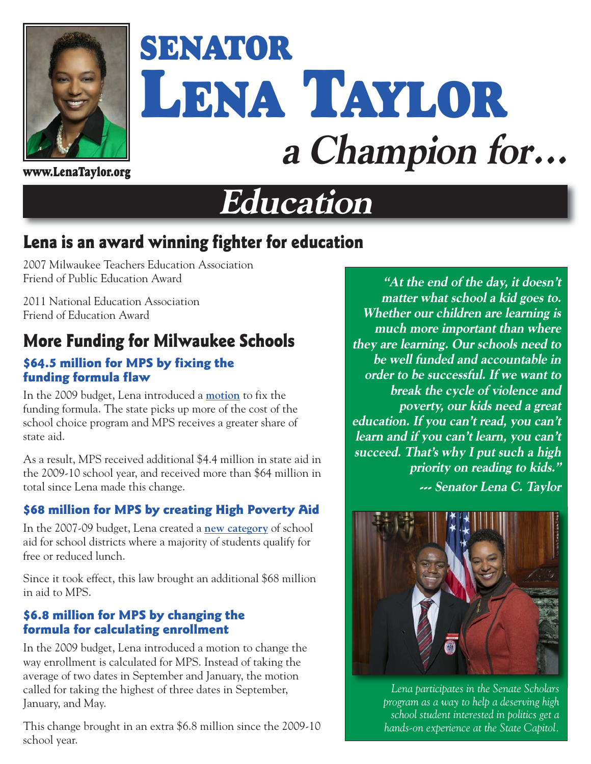

# **SENATOR LENA TAYLOR a Champion for...**

# **Education**

## **Lena is an award winning fighter for education**

2007 Milwaukee Teachers Education Association Friend of Public Education Award

2011 National Education Association Friend of Education Award

## **More Funding for Milwaukee Schools**

#### **\$64.5 million for MPS by fixing the funding formula flaw**

In the 2009 budget, Lena introduced a **[motion](http://legis.wisconsin.gov/eupdates/sen04/Issue%20Papers/2009%20Motion%20%23700%20pg%208.pdf)** to fix the funding formula. The state picks up more of the cost of the school choice program and MPS receives a greater share of state aid.

As a result, MPS received additional \$4.4 million in state aid in the 2009-10 school year, and received more than \$64 million in total since Lena made this change.

#### **\$68 million for MPS by creating High Poverty Aid**

In the 2007-09 budget, Lena created a **[new category](http://legis.wisconsin.gov/eupdates/sen04/Issue%20Papers/2009%20Motion%20248.pdf)** of school aid for school districts where a majority of students qualify for free or reduced lunch.

Since it took effect, this law brought an additional \$68 million in aid to MPS.

#### **\$6.8 million for MPS by changing the formula for calculating enrollment**

In the 2009 budget, Lena introduced a motion to change the way enrollment is calculated for MPS. Instead of taking the average of two dates in September and January, the motion called for taking the highest of three dates in September, January, and May.

This change brought in an extra \$6.8 million since the 2009-10 school year.

**"At the end of the day, it doesn't matter what school a kid goes to. Whether our children are learning is much more important than where they are learning. Our schools need to be well funded and accountable in order to be successful. If we want to break the cycle of violence and poverty, our kids need a great education. If you can't read, you can't learn and if you can't learn, you can't succeed. That's why I put such a high priority on reading to kids."** 

**--- Senator Lena C. Taylor** 



*Lena participates in the Senate Scholars program as a way to help a deserving high school student interested in politics get a hands-on experience at the State Capitol.*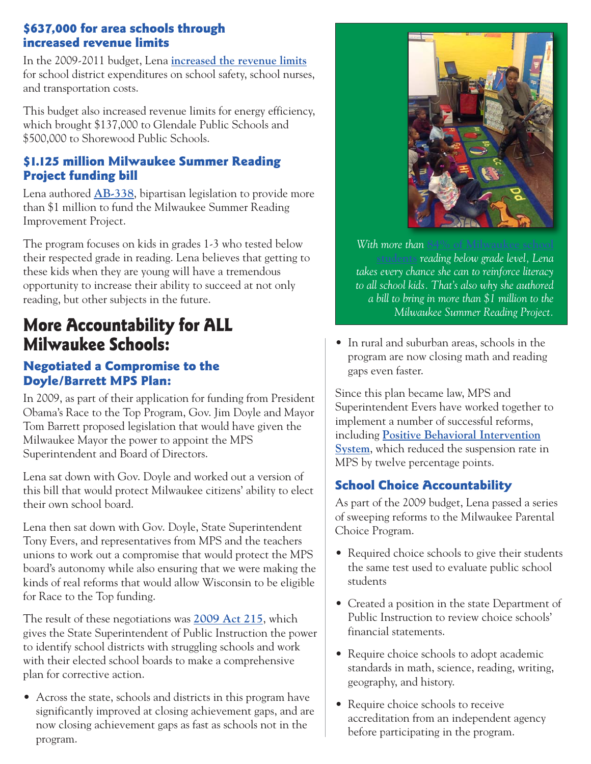#### **\$637,000 for area schools through increased revenue limits**

In the 2009-2011 budget, Lena **[increased the revenue limits](http://legis.wisconsin.gov/eupdates/sen04/Issue%20Papers/2009%20Motion%20%23700.pdf)** for school district expenditures on school safety, school nurses, and transportation costs.

This budget also increased revenue limits for energy efficiency, which brought \$137,000 to Glendale Public Schools and \$500,000 to Shorewood Public Schools.

#### **\$1.125 million Milwaukee Summer Reading Project funding bill**

Lena authored **[AB-338](http://docs.legis.wisconsin.gov/2015/proposals/ab338)**, bipartisan legislation to provide more than \$1 million to fund the Milwaukee Summer Reading Improvement Project.

The program focuses on kids in grades 1-3 who tested below their respected grade in reading. Lena believes that getting to these kids when they are young will have a tremendous opportunity to increase their ability to succeed at not only reading, but other subjects in the future.

### **More Accountability for ALL Milwaukee Schools:**

#### **Negotiated a Compromise to the Doyle/Barrett MPS Plan:**

In 2009, as part of their application for funding from President Obama's Race to the Top Program, Gov. Jim Doyle and Mayor Tom Barrett proposed legislation that would have given the Milwaukee Mayor the power to appoint the MPS Superintendent and Board of Directors.

Lena sat down with Gov. Doyle and worked out a version of this bill that would protect Milwaukee citizens' ability to elect their own school board.

Lena then sat down with Gov. Doyle, State Superintendent Tony Evers, and representatives from MPS and the teachers unions to work out a compromise that would protect the MPS board's autonomy while also ensuring that we were making the kinds of real reforms that would allow Wisconsin to be eligible for Race to the Top funding.

The result of these negotiations was **[2009 Act 215](http://docs.legis.wisconsin.gov/2009/related/acts/215)**, which gives the State Superintendent of Public Instruction the power to identify school districts with struggling schools and work with their elected school boards to make a comprehensive plan for corrective action.

• Across the state, schools and districts in this program have significantly improved at closing achievement gaps, and are now closing achievement gaps as fast as schools not in the program.



*With more than 84% of Milwaukee sc* **[students](http://milwaukeesucceeds.org/files/6514/0422/4872/Milwaukee-Succeeds-Milestone-Report-2014.pdf)** *reading below grade level, Lena takes every chance she can to reinforce literacy to all school kids. That's also why she authored a bill to bring in more than \$1 million to the Milwaukee Summer Reading Project.* 

• In rural and suburban areas, schools in the program are now closing math and reading gaps even faster.

Since this plan became law, MPS and Superintendent Evers have worked together to implement a number of successful reforms, including **[Positive Behavioral Intervention](http://legis.wisconsin.gov/eupdates/sen04/Issue%20Papers/2011-12%20CAR%20Overview%20-%2008192011.docx) [System](http://legis.wisconsin.gov/eupdates/sen04/Issue%20Papers/2011-12%20CAR%20Overview%20-%2008192011.docx)**, which reduced the suspension rate in MPS by twelve percentage points.

#### **School Choice Accountability**

As part of the 2009 budget, Lena passed a series of sweeping reforms to the Milwaukee Parental Choice Program.

- Required choice schools to give their students the same test used to evaluate public school students
- Created a position in the state Department of Public Instruction to review choice schools' financial statements.
- Require choice schools to adopt academic standards in math, science, reading, writing, geography, and history.
- Require choice schools to receive accreditation from an independent agency before participating in the program.